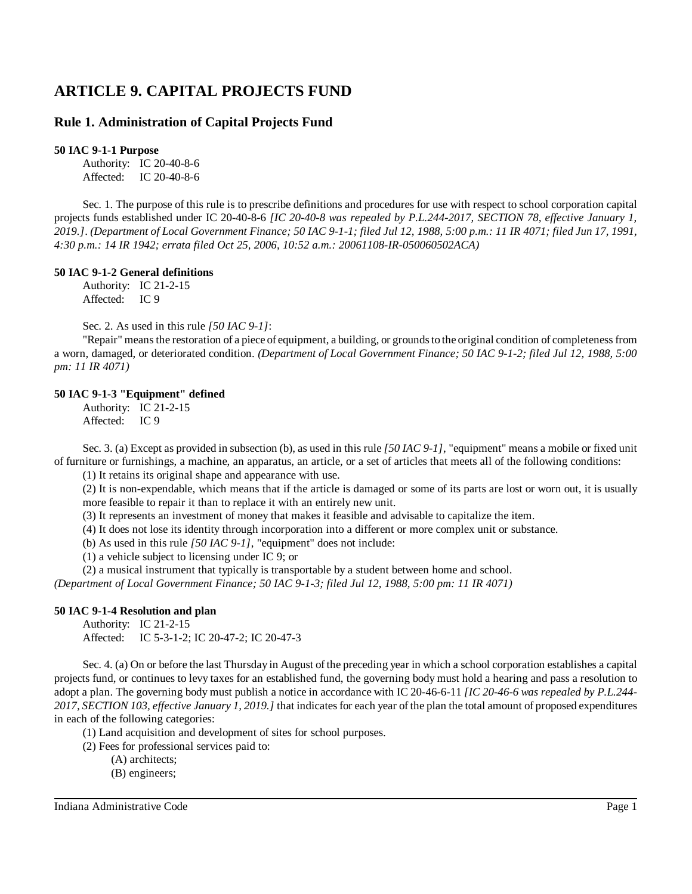# **ARTICLE 9. CAPITAL PROJECTS FUND**

# **Rule 1. Administration of Capital Projects Fund**

## **50 IAC 9-1-1 Purpose**

Authority: IC 20-40-8-6 Affected: IC 20-40-8-6

Sec. 1. The purpose of this rule is to prescribe definitions and procedures for use with respect to school corporation capital projects funds established under IC 20-40-8-6 *[IC 20-40-8 was repealed by P.L.244-2017, SECTION 78, effective January 1,* 2019.]. (Department of Local Government Finance; 50 IAC 9-1-1; filed Jul 12, 1988, 5:00 p.m.: 11 IR 4071; filed Jun 17, 1991, *4:30 p.m.: 14 IR 1942; errata filed Oct 25, 2006, 10:52 a.m.: 20061108-IR-050060502ACA)*

### **50 IAC 9-1-2 General definitions**

Authority: IC 21-2-15 Affected: IC 9

Sec. 2. As used in this rule *[50 IAC 9-1]*:

"Repair" means the restoration of a piece of equipment, a building, or grounds to the original condition of completeness from a worn, damaged, or deteriorated condition. *(Department of Local Government Finance; 50 IAC 9-1-2; filed Jul 12, 1988, 5:00 pm: 11 IR 4071)*

# **50 IAC 9-1-3 "Equipment" defined**

Authority: IC 21-2-15 Affected: IC 9

Sec. 3. (a) Except as provided in subsection (b), as used in this rule *[50 IAC 9-1]*, "equipment" means a mobile or fixed unit of furniture or furnishings, a machine, an apparatus, an article, or a set of articles that meets all of the following conditions:

(1) It retains its original shape and appearance with use.

(2) It is non-expendable, which means that if the article is damaged or some of its parts are lost or worn out, it is usually more feasible to repair it than to replace it with an entirely new unit.

(3) It represents an investment of money that makes it feasible and advisable to capitalize the item.

(4) It does not lose its identity through incorporation into a different or more complex unit or substance.

(b) As used in this rule *[50 IAC 9-1]*, "equipment" does not include:

(1) a vehicle subject to licensing under IC 9; or

(2) a musical instrument that typically is transportable by a student between home and school.

*(Department of Local Government Finance; 50 IAC 9-1-3; filed Jul 12, 1988, 5:00 pm: 11 IR 4071)*

# **50 IAC 9-1-4 Resolution and plan**

Authority: IC 21-2-15 Affected: IC 5-3-1-2; IC 20-47-2; IC 20-47-3

Sec. 4. (a) On or before the last Thursday in August of the preceding year in which a school corporation establishes a capital projects fund, or continues to levy taxes for an established fund, the governing body must hold a hearing and pass a resolution to adopt a plan. The governing body must publish a notice in accordance with IC 20-46-6-11 *[IC 20-46-6 was repealed by P.L.244- 2017, SECTION 103, effective January 1, 2019.]* that indicatesfor each year of the plan the total amount of proposed expenditures in each of the following categories:

(1) Land acquisition and development of sites for school purposes.

(2) Fees for professional services paid to:

(A) architects;

(B) engineers;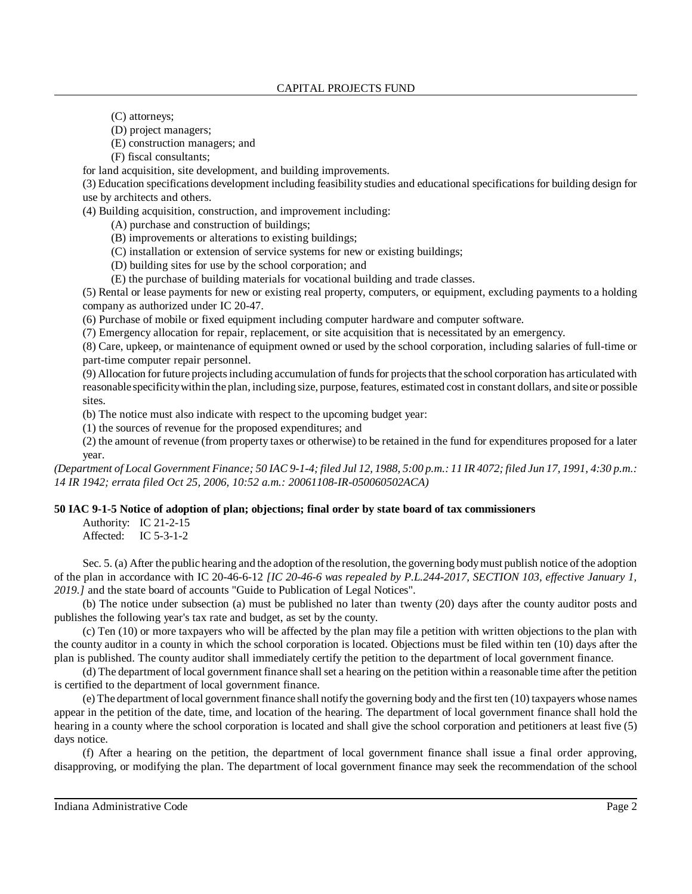(C) attorneys;

(D) project managers;

(E) construction managers; and

(F) fiscal consultants;

for land acquisition, site development, and building improvements.

(3) Education specifications development including feasibility studies and educational specificationsfor building design for use by architects and others.

(4) Building acquisition, construction, and improvement including:

(A) purchase and construction of buildings;

(B) improvements or alterations to existing buildings;

(C) installation or extension of service systems for new or existing buildings;

(D) building sites for use by the school corporation; and

(E) the purchase of building materials for vocational building and trade classes.

(5) Rental or lease payments for new or existing real property, computers, or equipment, excluding payments to a holding company as authorized under IC 20-47.

(6) Purchase of mobile or fixed equipment including computer hardware and computer software.

(7) Emergency allocation for repair, replacement, or site acquisition that is necessitated by an emergency.

(8) Care, upkeep, or maintenance of equipment owned or used by the school corporation, including salaries of full-time or part-time computer repair personnel.

(9) Allocation for future projectsincluding accumulation offundsfor projectsthat the school corporation has articulated with reasonable specificitywithin the plan, including size, purpose,features, estimated cost in constant dollars, and site or possible sites.

(b) The notice must also indicate with respect to the upcoming budget year:

(1) the sources of revenue for the proposed expenditures; and

(2) the amount of revenue (from property taxes or otherwise) to be retained in the fund for expenditures proposed for a later year.

(Department of Local Government Finance; 50 IAC 9-1-4; filed Jul 12, 1988, 5:00 p.m.: 11 IR 4072; filed Jun 17, 1991, 4:30 p.m.: *14 IR 1942; errata filed Oct 25, 2006, 10:52 a.m.: 20061108-IR-050060502ACA)*

# **50 IAC 9-1-5 Notice of adoption of plan; objections; final order by state board of tax commissioners**

Authority: IC 21-2-15 Affected: IC 5-3-1-2

Sec. 5. (a) After the public hearing and the adoption of the resolution, the governing body must publish notice of the adoption of the plan in accordance with IC 20-46-6-12 *[IC 20-46-6 was repealed by P.L.244-2017, SECTION 103, effective January 1, 2019.]* and the state board of accounts "Guide to Publication of Legal Notices".

(b) The notice under subsection (a) must be published no later than twenty (20) days after the county auditor posts and publishes the following year's tax rate and budget, as set by the county.

(c) Ten (10) or more taxpayers who will be affected by the plan may file a petition with written objections to the plan with the county auditor in a county in which the school corporation is located. Objections must be filed within ten (10) days after the plan is published. The county auditor shall immediately certify the petition to the department of local government finance.

(d) The department of local government finance shall set a hearing on the petition within a reasonable time after the petition is certified to the department of local government finance.

(e) The department oflocal government finance shall notify the governing body and the first ten (10) taxpayers whose names appear in the petition of the date, time, and location of the hearing. The department of local government finance shall hold the hearing in a county where the school corporation is located and shall give the school corporation and petitioners at least five (5) days notice.

(f) After a hearing on the petition, the department of local government finance shall issue a final order approving, disapproving, or modifying the plan. The department of local government finance may seek the recommendation of the school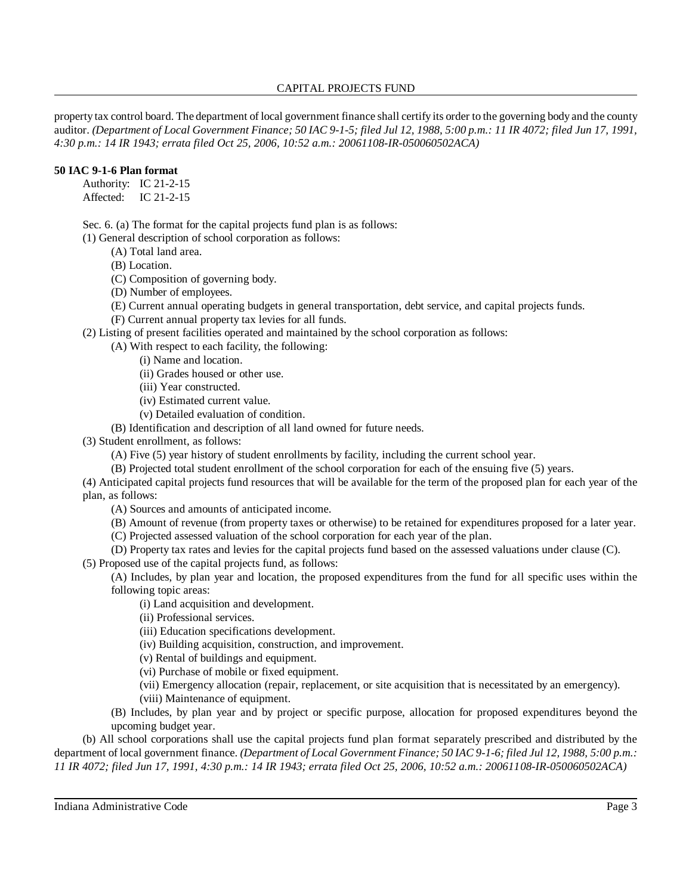## CAPITAL PROJECTS FUND

property tax control board. The department of local government finance shall certify its order to the governing body and the county auditor. (Department of Local Government Finance; 50 IAC 9-1-5; filed Jul 12, 1988, 5:00 p.m.: 11 IR 4072; filed Jun 17, 1991, *4:30 p.m.: 14 IR 1943; errata filed Oct 25, 2006, 10:52 a.m.: 20061108-IR-050060502ACA)*

## **50 IAC 9-1-6 Plan format**

Authority: IC 21-2-15

Affected: IC 21-2-15

Sec. 6. (a) The format for the capital projects fund plan is as follows:

(1) General description of school corporation as follows:

- (A) Total land area.
- (B) Location.
- (C) Composition of governing body.
- (D) Number of employees.
- (E) Current annual operating budgets in general transportation, debt service, and capital projects funds.

(F) Current annual property tax levies for all funds.

(2) Listing of present facilities operated and maintained by the school corporation as follows:

(A) With respect to each facility, the following:

- (i) Name and location.
- (ii) Grades housed or other use.
- (iii) Year constructed.
- (iv) Estimated current value.
- (v) Detailed evaluation of condition.

(B) Identification and description of all land owned for future needs.

(3) Student enrollment, as follows:

(A) Five (5) year history of student enrollments by facility, including the current school year.

(B) Projected total student enrollment of the school corporation for each of the ensuing five (5) years.

(4) Anticipated capital projects fund resources that will be available for the term of the proposed plan for each year of the plan, as follows:

- (A) Sources and amounts of anticipated income.
- (B) Amount of revenue (from property taxes or otherwise) to be retained for expenditures proposed for a later year.
- (C) Projected assessed valuation of the school corporation for each year of the plan.
- (D) Property tax rates and levies for the capital projects fund based on the assessed valuations under clause (C).

(5) Proposed use of the capital projects fund, as follows:

(A) Includes, by plan year and location, the proposed expenditures from the fund for all specific uses within the following topic areas:

- (i) Land acquisition and development.
- (ii) Professional services.
- (iii) Education specifications development.
- (iv) Building acquisition, construction, and improvement.
- (v) Rental of buildings and equipment.
- (vi) Purchase of mobile or fixed equipment.
- (vii) Emergency allocation (repair, replacement, or site acquisition that is necessitated by an emergency). (viii) Maintenance of equipment.
- (B) Includes, by plan year and by project or specific purpose, allocation for proposed expenditures beyond the upcoming budget year.

(b) All school corporations shall use the capital projects fund plan format separately prescribed and distributed by the department of local government finance. *(Department of Local Government Finance; 50 IAC 9-1-6; filed Jul 12, 1988, 5:00 p.m.: 11 IR 4072; filed Jun 17, 1991, 4:30 p.m.: 14 IR 1943; errata filed Oct 25, 2006, 10:52 a.m.: 20061108-IR-050060502ACA)*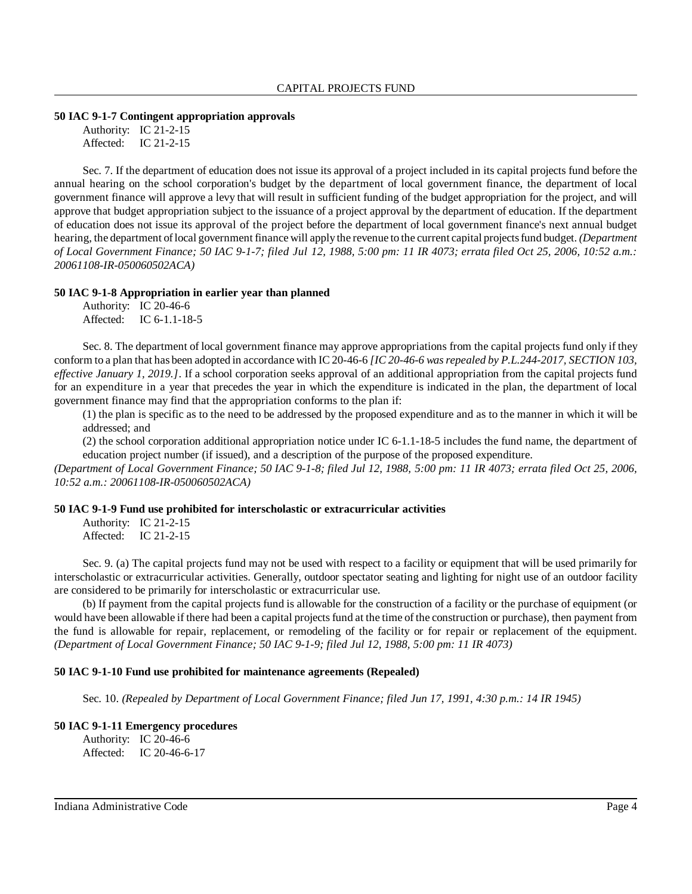# **50 IAC 9-1-7 Contingent appropriation approvals**

Authority: IC 21-2-15 Affected: IC 21-2-15

Sec. 7. If the department of education does not issue its approval of a project included in its capital projects fund before the annual hearing on the school corporation's budget by the department of local government finance, the department of local government finance will approve a levy that will result in sufficient funding of the budget appropriation for the project, and will approve that budget appropriation subject to the issuance of a project approval by the department of education. If the department of education does not issue its approval of the project before the department of local government finance's next annual budget hearing, the department oflocal government finance will applythe revenue to the current capital projectsfund budget. *(Department of Local Government Finance; 50 IAC 9-1-7; filed Jul 12, 1988, 5:00 pm: 11 IR 4073; errata filed Oct 25, 2006, 10:52 a.m.: 20061108-IR-050060502ACA)*

#### **50 IAC 9-1-8 Appropriation in earlier year than planned**

|           | Authority: IC 20-46-6 |
|-----------|-----------------------|
| Affected: | IC $6-1.1-18-5$       |

Sec. 8. The department of local government finance may approve appropriations from the capital projects fund only if they conform to a plan that has been adopted in accordance with IC 20-46-6 *[IC 20-46-6 wasrepealed by P.L.244-2017, SECTION 103, effective January 1, 2019.]*. If a school corporation seeks approval of an additional appropriation from the capital projects fund for an expenditure in a year that precedes the year in which the expenditure is indicated in the plan, the department of local government finance may find that the appropriation conforms to the plan if:

(1) the plan is specific as to the need to be addressed by the proposed expenditure and as to the manner in which it will be addressed; and

(2) the school corporation additional appropriation notice under IC 6-1.1-18-5 includes the fund name, the department of education project number (if issued), and a description of the purpose of the proposed expenditure.

*(Department of Local Government Finance; 50 IAC 9-1-8; filed Jul 12, 1988, 5:00 pm: 11 IR 4073; errata filed Oct 25, 2006, 10:52 a.m.: 20061108-IR-050060502ACA)*

#### **50 IAC 9-1-9 Fund use prohibited for interscholastic or extracurricular activities**

Authority: IC 21-2-15 Affected: IC 21-2-15

Sec. 9. (a) The capital projects fund may not be used with respect to a facility or equipment that will be used primarily for interscholastic or extracurricular activities. Generally, outdoor spectator seating and lighting for night use of an outdoor facility are considered to be primarily for interscholastic or extracurricular use.

(b) If payment from the capital projects fund is allowable for the construction of a facility or the purchase of equipment (or would have been allowable if there had been a capital projects fund at the time of the construction or purchase), then payment from the fund is allowable for repair, replacement, or remodeling of the facility or for repair or replacement of the equipment. *(Department of Local Government Finance; 50 IAC 9-1-9; filed Jul 12, 1988, 5:00 pm: 11 IR 4073)*

#### **50 IAC 9-1-10 Fund use prohibited for maintenance agreements (Repealed)**

Sec. 10. *(Repealed by Department of Local Government Finance; filed Jun 17, 1991, 4:30 p.m.: 14 IR 1945)*

#### **50 IAC 9-1-11 Emergency procedures** Authority: IC 20-46-6

Affected: IC 20-46-6-17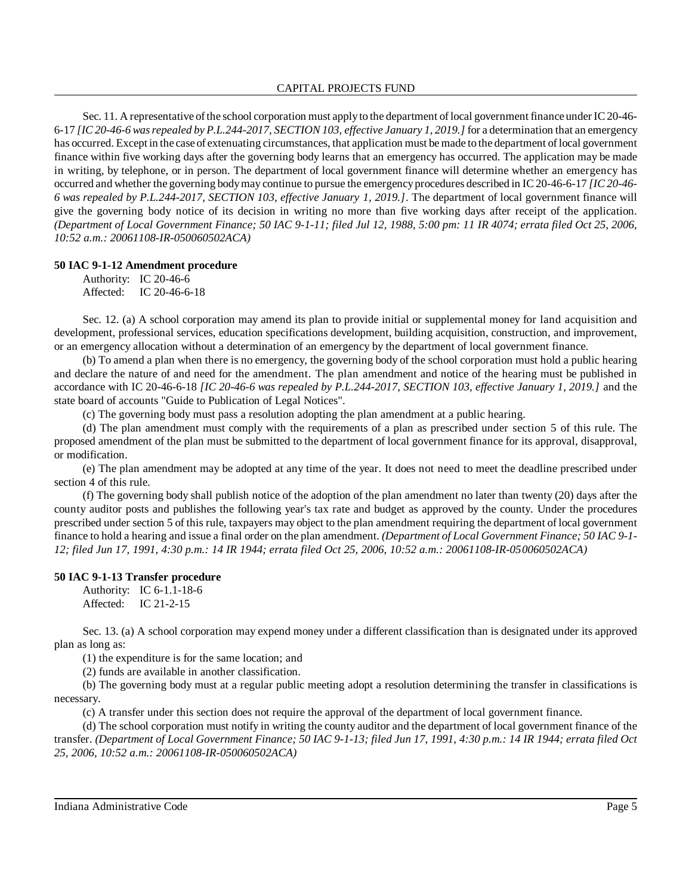Sec. 11. A representative of the school corporation must apply to the department of local government finance under IC20-46-6-17 *[IC 20-46-6 wasrepealed by P.L.244-2017, SECTION 103, effective January 1, 2019.]* for a determination that an emergency has occurred. Except in the case of extenuating circumstances, that application must be made to the department of local government finance within five working days after the governing body learns that an emergency has occurred. The application may be made in writing, by telephone, or in person. The department of local government finance will determine whether an emergency has occurred and whether the governing bodymay continue to pursue the emergencyprocedures described in IC 20-46-6-17 *[IC 20-46- 6 was repealed by P.L.244-2017, SECTION 103, effective January 1, 2019.]*. The department of local government finance will give the governing body notice of its decision in writing no more than five working days after receipt of the application. *(Department of Local Government Finance; 50 IAC 9-1-11; filed Jul 12, 1988, 5:00 pm: 11 IR 4074; errata filed Oct 25, 2006, 10:52 a.m.: 20061108-IR-050060502ACA)*

### **50 IAC 9-1-12 Amendment procedure**

Authority: IC 20-46-6 Affected: IC 20-46-6-18

Sec. 12. (a) A school corporation may amend its plan to provide initial or supplemental money for land acquisition and development, professional services, education specifications development, building acquisition, construction, and improvement, or an emergency allocation without a determination of an emergency by the department of local government finance.

(b) To amend a plan when there is no emergency, the governing body of the school corporation must hold a public hearing and declare the nature of and need for the amendment. The plan amendment and notice of the hearing must be published in accordance with IC 20-46-6-18 *[IC 20-46-6 was repealed by P.L.244-2017, SECTION 103, effective January 1, 2019.]* and the state board of accounts "Guide to Publication of Legal Notices".

(c) The governing body must pass a resolution adopting the plan amendment at a public hearing.

(d) The plan amendment must comply with the requirements of a plan as prescribed under section 5 of this rule. The proposed amendment of the plan must be submitted to the department of local government finance for its approval, disapproval, or modification.

(e) The plan amendment may be adopted at any time of the year. It does not need to meet the deadline prescribed under section 4 of this rule.

(f) The governing body shall publish notice of the adoption of the plan amendment no later than twenty (20) days after the county auditor posts and publishes the following year's tax rate and budget as approved by the county. Under the procedures prescribed under section 5 of this rule, taxpayers may object to the plan amendment requiring the department of local government finance to hold a hearing and issue a final order on the plan amendment. *(Department of Local Government Finance; 50 IAC 9-1- 12; filed Jun 17, 1991, 4:30 p.m.: 14 IR 1944; errata filed Oct 25, 2006, 10:52 a.m.: 20061108-IR-050060502ACA)*

# **50 IAC 9-1-13 Transfer procedure**

Authority: IC 6-1.1-18-6 Affected: IC 21-2-15

Sec. 13. (a) A school corporation may expend money under a different classification than is designated under its approved plan as long as:

(1) the expenditure is for the same location; and

(2) funds are available in another classification.

(b) The governing body must at a regular public meeting adopt a resolution determining the transfer in classifications is necessary.

(c) A transfer under this section does not require the approval of the department of local government finance.

(d) The school corporation must notify in writing the county auditor and the department of local government finance of the transfer. (Department of Local Government Finance; 50 IAC 9-1-13; filed Jun 17, 1991, 4:30 p.m.: 14 IR 1944; errata filed Oct *25, 2006, 10:52 a.m.: 20061108-IR-050060502ACA)*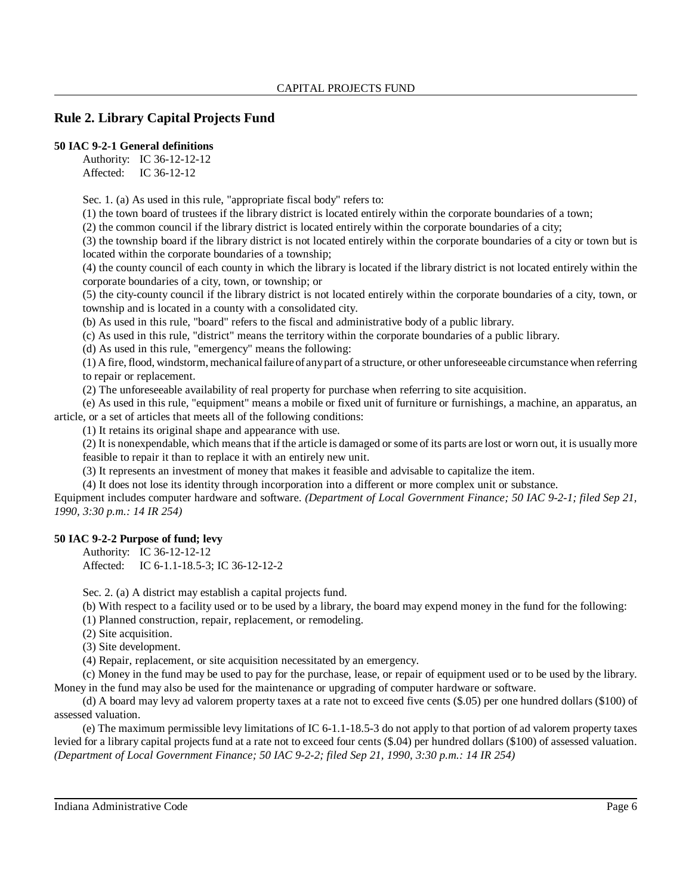# **Rule 2. Library Capital Projects Fund**

### **50 IAC 9-2-1 General definitions**

Authority: IC 36-12-12-12 Affected: IC 36-12-12

Sec. 1. (a) As used in this rule, "appropriate fiscal body" refers to:

(1) the town board of trustees if the library district is located entirely within the corporate boundaries of a town;

(2) the common council if the library district is located entirely within the corporate boundaries of a city;

(3) the township board if the library district is not located entirely within the corporate boundaries of a city or town but is located within the corporate boundaries of a township;

(4) the county council of each county in which the library is located if the library district is not located entirely within the corporate boundaries of a city, town, or township; or

(5) the city-county council if the library district is not located entirely within the corporate boundaries of a city, town, or township and is located in a county with a consolidated city.

(b) As used in this rule, "board" refers to the fiscal and administrative body of a public library.

(c) As used in this rule, "district" means the territory within the corporate boundaries of a public library.

(d) As used in this rule, "emergency" means the following:

(1) A fire, flood, windstorm, mechanicalfailure of anypart of a structure, or other unforeseeable circumstance when referring to repair or replacement.

(2) The unforeseeable availability of real property for purchase when referring to site acquisition.

(e) As used in this rule, "equipment" means a mobile or fixed unit of furniture or furnishings, a machine, an apparatus, an article, or a set of articles that meets all of the following conditions:

(1) It retains its original shape and appearance with use.

(2) It is nonexpendable, which meansthat if the article is damaged or some of its parts are lost or worn out, it is usually more feasible to repair it than to replace it with an entirely new unit.

(3) It represents an investment of money that makes it feasible and advisable to capitalize the item.

(4) It does not lose its identity through incorporation into a different or more complex unit or substance.

Equipment includes computer hardware and software. *(Department of Local Government Finance; 50 IAC 9-2-1; filed Sep 21, 1990, 3:30 p.m.: 14 IR 254)*

# **50 IAC 9-2-2 Purpose of fund; levy**

Authority: IC 36-12-12-12

Affected: IC 6-1.1-18.5-3; IC 36-12-12-2

Sec. 2. (a) A district may establish a capital projects fund.

(b) With respect to a facility used or to be used by a library, the board may expend money in the fund for the following:

(1) Planned construction, repair, replacement, or remodeling.

(2) Site acquisition.

(3) Site development.

(4) Repair, replacement, or site acquisition necessitated by an emergency.

(c) Money in the fund may be used to pay for the purchase, lease, or repair of equipment used or to be used by the library. Money in the fund may also be used for the maintenance or upgrading of computer hardware or software.

(d) A board may levy ad valorem property taxes at a rate not to exceed five cents (\$.05) per one hundred dollars (\$100) of assessed valuation.

(e) The maximum permissible levy limitations of IC 6-1.1-18.5-3 do not apply to that portion of ad valorem property taxes levied for a library capital projects fund at a rate not to exceed four cents (\$.04) per hundred dollars (\$100) of assessed valuation. *(Department of Local Government Finance; 50 IAC 9-2-2; filed Sep 21, 1990, 3:30 p.m.: 14 IR 254)*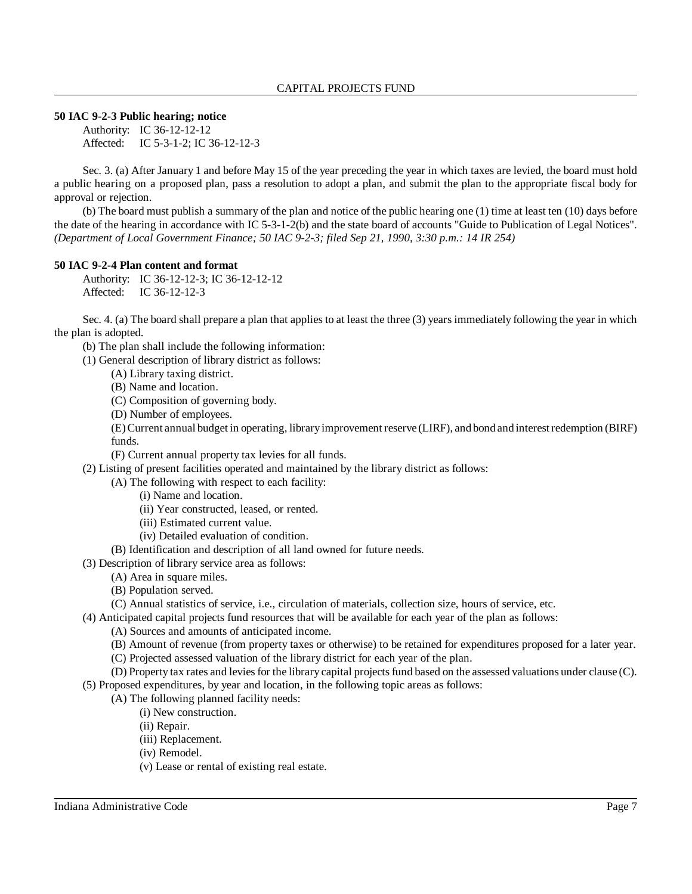**50 IAC 9-2-3 Public hearing; notice**

Authority: IC 36-12-12-12 Affected: IC 5-3-1-2; IC 36-12-12-3

Sec. 3. (a) After January 1 and before May 15 of the year preceding the year in which taxes are levied, the board must hold a public hearing on a proposed plan, pass a resolution to adopt a plan, and submit the plan to the appropriate fiscal body for approval or rejection.

(b) The board must publish a summary of the plan and notice of the public hearing one (1) time at least ten (10) days before the date of the hearing in accordance with IC 5-3-1-2(b) and the state board of accounts "Guide to Publication of Legal Notices". *(Department of Local Government Finance; 50 IAC 9-2-3; filed Sep 21, 1990, 3:30 p.m.: 14 IR 254)*

# **50 IAC 9-2-4 Plan content and format**

Authority: IC 36-12-12-3; IC 36-12-12-12 Affected: IC 36-12-12-3

Sec. 4. (a) The board shall prepare a plan that applies to at least the three (3) years immediately following the year in which the plan is adopted.

(b) The plan shall include the following information:

(1) General description of library district as follows:

(A) Library taxing district.

(B) Name and location.

- (C) Composition of governing body.
- (D) Number of employees.

(E)Current annual budget in operating, libraryimprovement reserve (LIRF), and bond and interestredemption (BIRF) funds.

(F) Current annual property tax levies for all funds.

(2) Listing of present facilities operated and maintained by the library district as follows:

- (A) The following with respect to each facility:
	- (i) Name and location.
	- (ii) Year constructed, leased, or rented.
	- (iii) Estimated current value.
	- (iv) Detailed evaluation of condition.
- (B) Identification and description of all land owned for future needs.
- (3) Description of library service area as follows:
	- (A) Area in square miles.
	- (B) Population served.
	- (C) Annual statistics of service, i.e., circulation of materials, collection size, hours of service, etc.
- (4) Anticipated capital projects fund resources that will be available for each year of the plan as follows:
	- (A) Sources and amounts of anticipated income.
	- (B) Amount of revenue (from property taxes or otherwise) to be retained for expenditures proposed for a later year.
	- (C) Projected assessed valuation of the library district for each year of the plan.
- (D) Property tax rates and levies for the library capital projects fund based on the assessed valuations under clause (C). (5) Proposed expenditures, by year and location, in the following topic areas as follows:
	- (A) The following planned facility needs:
		- (i) New construction.
		- (ii) Repair.
		- (iii) Replacement.
		- (iv) Remodel.
		- (v) Lease or rental of existing real estate.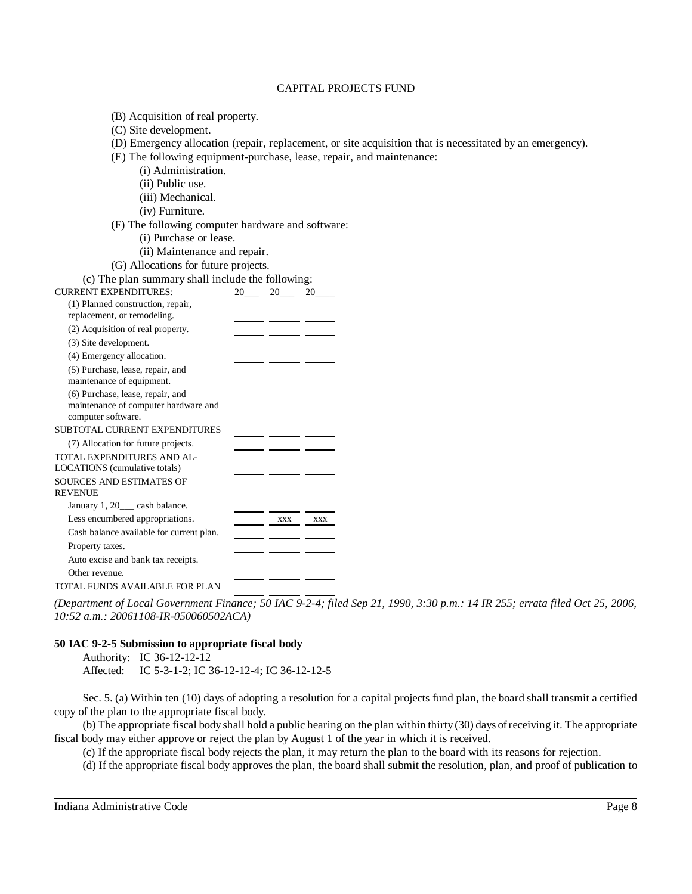| (B) Acquisition of real property.                                        |                                                                                                           |
|--------------------------------------------------------------------------|-----------------------------------------------------------------------------------------------------------|
| (C) Site development.                                                    |                                                                                                           |
|                                                                          | (D) Emergency allocation (repair, replacement, or site acquisition that is necessitated by an emergency). |
|                                                                          | (E) The following equipment-purchase, lease, repair, and maintenance:                                     |
| (i) Administration.                                                      |                                                                                                           |
| (ii) Public use.                                                         |                                                                                                           |
| (iii) Mechanical.                                                        |                                                                                                           |
| (iv) Furniture.                                                          |                                                                                                           |
|                                                                          | (F) The following computer hardware and software:                                                         |
| (i) Purchase or lease.                                                   |                                                                                                           |
| (ii) Maintenance and repair.                                             |                                                                                                           |
| (G) Allocations for future projects.                                     |                                                                                                           |
| (c) The plan summary shall include the following:                        |                                                                                                           |
| <b>CURRENT EXPENDITURES:</b>                                             | 20<br>20<br>20                                                                                            |
| (1) Planned construction, repair,                                        |                                                                                                           |
| replacement, or remodeling.                                              |                                                                                                           |
| (2) Acquisition of real property.                                        |                                                                                                           |
| (3) Site development.                                                    |                                                                                                           |
| (4) Emergency allocation.                                                |                                                                                                           |
| (5) Purchase, lease, repair, and                                         |                                                                                                           |
| maintenance of equipment.                                                |                                                                                                           |
| (6) Purchase, lease, repair, and<br>maintenance of computer hardware and |                                                                                                           |
| computer software.                                                       |                                                                                                           |
| SUBTOTAL CURRENT EXPENDITURES                                            |                                                                                                           |
| (7) Allocation for future projects.                                      |                                                                                                           |
| TOTAL EXPENDITURES AND AL-                                               |                                                                                                           |
| LOCATIONS (cumulative totals)                                            |                                                                                                           |
| SOURCES AND ESTIMATES OF                                                 |                                                                                                           |
| <b>REVENUE</b>                                                           |                                                                                                           |
| January 1, 20__ cash balance.                                            |                                                                                                           |
| Less encumbered appropriations.                                          | XXX<br>XXX                                                                                                |
| Cash balance available for current plan.                                 |                                                                                                           |
| Property taxes.                                                          |                                                                                                           |
| Auto excise and bank tax receipts.                                       |                                                                                                           |
| Other revenue.                                                           |                                                                                                           |
| TOTAL FUNDS AVAILABLE FOR PLAN                                           |                                                                                                           |

*(Department of Local Government Finance; 50 IAC 9-2-4; filed Sep 21, 1990, 3:30 p.m.: 14 IR 255; errata filed Oct 25, 2006, 10:52 a.m.: 20061108-IR-050060502ACA)*

# **50 IAC 9-2-5 Submission to appropriate fiscal body**

Authority: IC 36-12-12-12 Affected: IC 5-3-1-2; IC 36-12-12-4; IC 36-12-12-5

Sec. 5. (a) Within ten (10) days of adopting a resolution for a capital projects fund plan, the board shall transmit a certified copy of the plan to the appropriate fiscal body.

(b) The appropriate fiscal body shall hold a public hearing on the plan within thirty(30) days ofreceiving it. The appropriate fiscal body may either approve or reject the plan by August 1 of the year in which it is received.

(c) If the appropriate fiscal body rejects the plan, it may return the plan to the board with its reasons for rejection.

(d) If the appropriate fiscal body approves the plan, the board shall submit the resolution, plan, and proof of publication to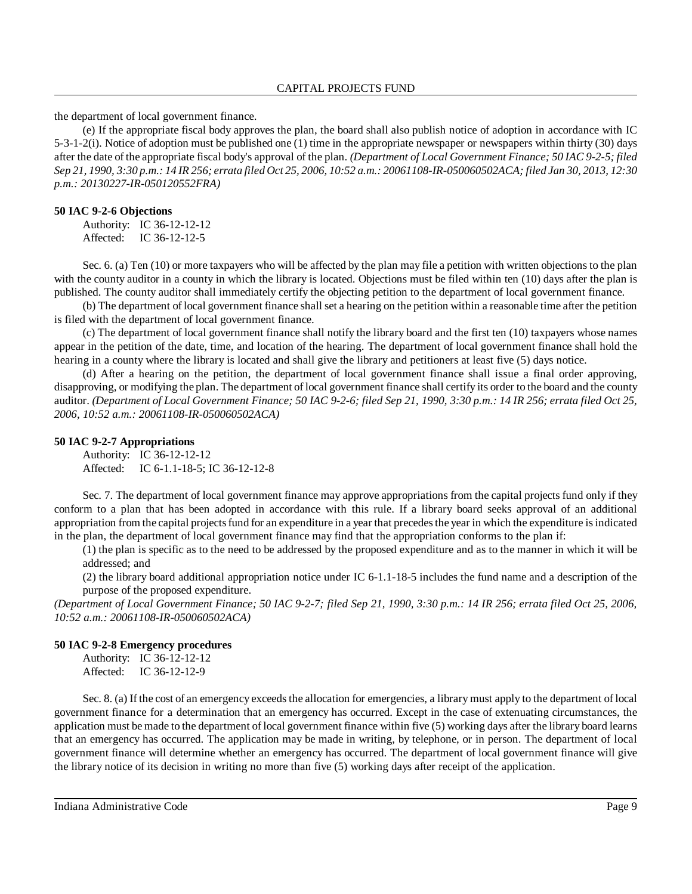the department of local government finance.

(e) If the appropriate fiscal body approves the plan, the board shall also publish notice of adoption in accordance with IC 5-3-1-2(i). Notice of adoption must be published one (1) time in the appropriate newspaper or newspapers within thirty (30) days after the date of the appropriate fiscal body's approval of the plan. *(Department of Local Government Finance; 50 IAC 9-2-5; filed* Sep 21, 1990, 3:30 p.m.: 14 IR 256; errata filed Oct 25, 2006, 10:52 a.m.: 20061108-IR-050060502ACA; filed Jan 30, 2013, 12:30 *p.m.: 20130227-IR-050120552FRA)*

#### **50 IAC 9-2-6 Objections**

Authority: IC 36-12-12-12 Affected: IC 36-12-12-5

Sec. 6. (a) Ten (10) or more taxpayers who will be affected by the plan may file a petition with written objections to the plan with the county auditor in a county in which the library is located. Objections must be filed within ten (10) days after the plan is published. The county auditor shall immediately certify the objecting petition to the department of local government finance.

(b) The department of local government finance shall set a hearing on the petition within a reasonable time after the petition is filed with the department of local government finance.

(c) The department of local government finance shall notify the library board and the first ten (10) taxpayers whose names appear in the petition of the date, time, and location of the hearing. The department of local government finance shall hold the hearing in a county where the library is located and shall give the library and petitioners at least five (5) days notice.

(d) After a hearing on the petition, the department of local government finance shall issue a final order approving, disapproving, or modifying the plan. The department of local government finance shall certify its order to the board and the county auditor. (Department of Local Government Finance; 50 IAC 9-2-6; filed Sep 21, 1990, 3:30 p.m.: 14 IR 256; errata filed Oct 25, *2006, 10:52 a.m.: 20061108-IR-050060502ACA)*

### **50 IAC 9-2-7 Appropriations**

Authority: IC 36-12-12-12 Affected: IC 6-1.1-18-5; IC 36-12-12-8

Sec. 7. The department of local government finance may approve appropriations from the capital projects fund only if they conform to a plan that has been adopted in accordance with this rule. If a library board seeks approval of an additional appropriation from the capital projects fund for an expenditure in a year that precedes the year in which the expenditure is indicated in the plan, the department of local government finance may find that the appropriation conforms to the plan if:

(1) the plan is specific as to the need to be addressed by the proposed expenditure and as to the manner in which it will be addressed; and

(2) the library board additional appropriation notice under IC 6-1.1-18-5 includes the fund name and a description of the purpose of the proposed expenditure.

*(Department of Local Government Finance; 50 IAC 9-2-7; filed Sep 21, 1990, 3:30 p.m.: 14 IR 256; errata filed Oct 25, 2006, 10:52 a.m.: 20061108-IR-050060502ACA)*

#### **50 IAC 9-2-8 Emergency procedures**

Authority: IC 36-12-12-12 Affected: IC 36-12-12-9

Sec. 8. (a) If the cost of an emergency exceeds the allocation for emergencies, a library must apply to the department of local government finance for a determination that an emergency has occurred. Except in the case of extenuating circumstances, the application must be made to the department of local government finance within five (5) working days after the library board learns that an emergency has occurred. The application may be made in writing, by telephone, or in person. The department of local government finance will determine whether an emergency has occurred. The department of local government finance will give the library notice of its decision in writing no more than five (5) working days after receipt of the application.